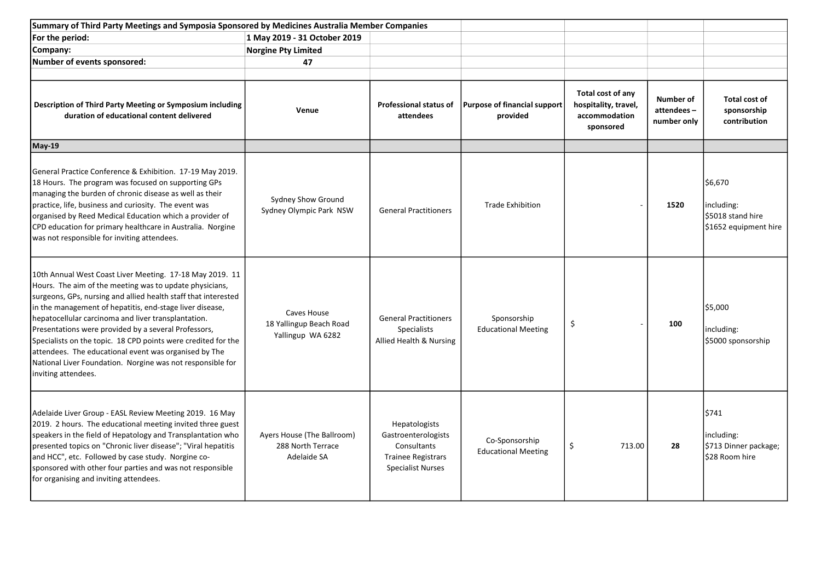| Summary of Third Party Meetings and Symposia Sponsored by Medicines Australia Member Companies                                                                                                                                                                                                                                                                                                                                                                                                                                                                                  |                                                                |                                                                                                              |                                                 |                                                                         |                                        |                                                                   |
|---------------------------------------------------------------------------------------------------------------------------------------------------------------------------------------------------------------------------------------------------------------------------------------------------------------------------------------------------------------------------------------------------------------------------------------------------------------------------------------------------------------------------------------------------------------------------------|----------------------------------------------------------------|--------------------------------------------------------------------------------------------------------------|-------------------------------------------------|-------------------------------------------------------------------------|----------------------------------------|-------------------------------------------------------------------|
| For the period:                                                                                                                                                                                                                                                                                                                                                                                                                                                                                                                                                                 | 1 May 2019 - 31 October 2019                                   |                                                                                                              |                                                 |                                                                         |                                        |                                                                   |
| Company:                                                                                                                                                                                                                                                                                                                                                                                                                                                                                                                                                                        | <b>Norgine Pty Limited</b>                                     |                                                                                                              |                                                 |                                                                         |                                        |                                                                   |
| Number of events sponsored:                                                                                                                                                                                                                                                                                                                                                                                                                                                                                                                                                     | 47                                                             |                                                                                                              |                                                 |                                                                         |                                        |                                                                   |
| Description of Third Party Meeting or Symposium including<br>duration of educational content delivered                                                                                                                                                                                                                                                                                                                                                                                                                                                                          | Venue                                                          | <b>Professional status of</b><br>attendees                                                                   | <b>Purpose of financial support</b><br>provided | Total cost of any<br>hospitality, travel,<br>accommodation<br>sponsored | Number of<br>attendees-<br>number only | Total cost of<br>sponsorship<br>contribution                      |
| <b>May-19</b>                                                                                                                                                                                                                                                                                                                                                                                                                                                                                                                                                                   |                                                                |                                                                                                              |                                                 |                                                                         |                                        |                                                                   |
| General Practice Conference & Exhibition. 17-19 May 2019.<br>18 Hours. The program was focused on supporting GPs<br>managing the burden of chronic disease as well as their<br>practice, life, business and curiosity. The event was<br>organised by Reed Medical Education which a provider of<br>CPD education for primary healthcare in Australia. Norgine<br>was not responsible for inviting attendees.                                                                                                                                                                    | Sydney Show Ground<br>Sydney Olympic Park NSW                  | <b>General Practitioners</b>                                                                                 | <b>Trade Exhibition</b>                         |                                                                         | 1520                                   | 56,670<br>including:<br>S5018 stand hire<br>\$1652 equipment hire |
| 10th Annual West Coast Liver Meeting. 17-18 May 2019. 11<br>Hours. The aim of the meeting was to update physicians,<br>surgeons, GPs, nursing and allied health staff that interested<br>in the management of hepatitis, end-stage liver disease,<br>hepatocellular carcinoma and liver transplantation.<br>Presentations were provided by a several Professors,<br>Specialists on the topic. 18 CPD points were credited for the<br>attendees. The educational event was organised by The<br>National Liver Foundation. Norgine was not responsible for<br>inviting attendees. | Caves House<br>18 Yallingup Beach Road<br>Yallingup WA 6282    | <b>General Practitioners</b><br><b>Specialists</b><br>Allied Health & Nursing                                | Sponsorship<br><b>Educational Meeting</b>       | \$                                                                      | 100                                    | \$5,000<br>including:<br>\$5000 sponsorship                       |
| Adelaide Liver Group - EASL Review Meeting 2019. 16 May<br>2019. 2 hours. The educational meeting invited three guest<br>speakers in the field of Hepatology and Transplantation who<br>presented topics on "Chronic liver disease"; "Viral hepatitis<br>and HCC", etc. Followed by case study. Norgine co-<br>sponsored with other four parties and was not responsible<br>for organising and inviting attendees.                                                                                                                                                              | Ayers House (The Ballroom)<br>288 North Terrace<br>Adelaide SA | Hepatologists<br>Gastroenterologists<br>Consultants<br><b>Trainee Registrars</b><br><b>Specialist Nurses</b> | Co-Sponsorship<br><b>Educational Meeting</b>    | \$<br>713.00                                                            | 28                                     | 5741<br>including:<br>\$713 Dinner package;<br>\$28 Room hire     |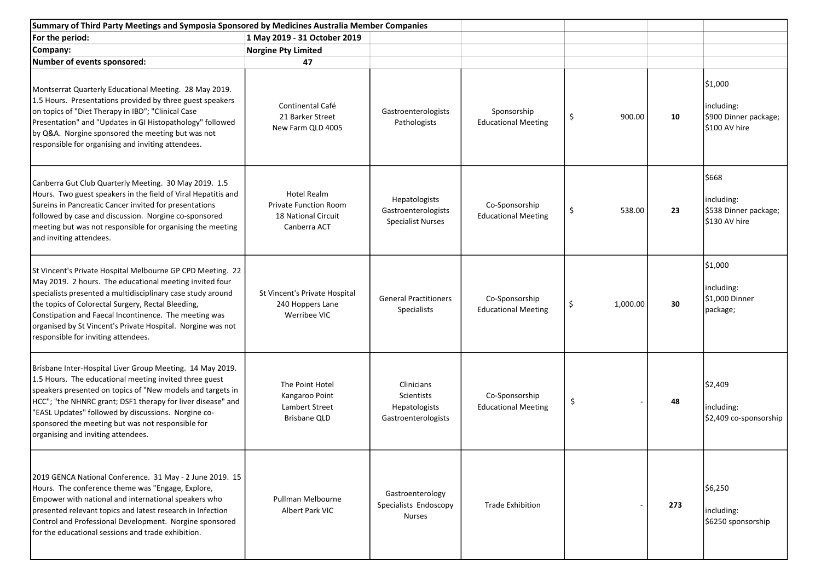| Summary of Third Party Meetings and Symposia Sponsored by Medicines Australia Member Companies                                                                                                                                                                                                                                                                                                            |                                                                                    |                                                                  |                                              |                |     |                                                                |
|-----------------------------------------------------------------------------------------------------------------------------------------------------------------------------------------------------------------------------------------------------------------------------------------------------------------------------------------------------------------------------------------------------------|------------------------------------------------------------------------------------|------------------------------------------------------------------|----------------------------------------------|----------------|-----|----------------------------------------------------------------|
| For the period:                                                                                                                                                                                                                                                                                                                                                                                           | 1 May 2019 - 31 October 2019                                                       |                                                                  |                                              |                |     |                                                                |
| Company:                                                                                                                                                                                                                                                                                                                                                                                                  | <b>Norgine Pty Limited</b>                                                         |                                                                  |                                              |                |     |                                                                |
| Number of events sponsored:                                                                                                                                                                                                                                                                                                                                                                               | 47                                                                                 |                                                                  |                                              |                |     |                                                                |
| Montserrat Quarterly Educational Meeting. 28 May 2019.<br>1.5 Hours. Presentations provided by three guest speakers<br>on topics of "Diet Therapy in IBD"; "Clinical Case<br>Presentation" and "Updates in GI Histopathology" followed<br>by Q&A. Norgine sponsored the meeting but was not<br>responsible for organising and inviting attendees.                                                         | Continental Café<br>21 Barker Street<br>New Farm QLD 4005                          | Gastroenterologists<br>Pathologists                              | Sponsorship<br><b>Educational Meeting</b>    | \$<br>900.00   | 10  | \$1,000<br>including:<br>\$900 Dinner package;<br>S100 AV hire |
| Canberra Gut Club Quarterly Meeting. 30 May 2019. 1.5<br>Hours. Two guest speakers in the field of Viral Hepatitis and<br>Sureins in Pancreatic Cancer invited for presentations<br>followed by case and discussion. Norgine co-sponsored<br>meeting but was not responsible for organising the meeting<br>and inviting attendees.                                                                        | Hotel Realm<br><b>Private Function Room</b><br>18 National Circuit<br>Canberra ACT | Hepatologists<br>Gastroenterologists<br><b>Specialist Nurses</b> | Co-Sponsorship<br><b>Educational Meeting</b> | \$<br>538.00   | 23  | 5668<br>including:<br>\$538 Dinner package;<br>S130 AV hire    |
| St Vincent's Private Hospital Melbourne GP CPD Meeting. 22<br>May 2019. 2 hours. The educational meeting invited four<br>specialists presented a multidisciplinary case study around<br>the topics of Colorectal Surgery, Rectal Bleeding,<br>Constipation and Faecal Incontinence. The meeting was<br>organised by St Vincent's Private Hospital. Norgine was not<br>responsible for inviting attendees. | St Vincent's Private Hospital<br>240 Hoppers Lane<br>Werribee VIC                  | <b>General Practitioners</b><br>Specialists                      | Co-Sponsorship<br><b>Educational Meeting</b> | \$<br>1,000.00 | 30  | \$1,000<br>including:<br>\$1,000 Dinner<br>package;            |
| Brisbane Inter-Hospital Liver Group Meeting. 14 May 2019.<br>1.5 Hours. The educational meeting invited three guest<br>speakers presented on topics of "New models and targets in<br>HCC"; "the NHNRC grant; DSF1 therapy for liver disease" and<br>'EASL Updates" followed by discussions. Norgine co-<br>sponsored the meeting but was not responsible for<br>organising and inviting attendees.        | The Point Hotel<br>Kangaroo Point<br>Lambert Street<br>Brisbane QLD                | Clinicians<br>Scientists<br>Hepatologists<br>Gastroenterologists | Co-Sponsorship<br><b>Educational Meeting</b> | \$             | 48  | \$2,409<br>including:<br>\$2,409 co-sponsorship                |
| 2019 GENCA National Conference. 31 May - 2 June 2019. 15<br>Hours. The conference theme was "Engage, Explore,<br>Empower with national and international speakers who<br>presented relevant topics and latest research in Infection<br>Control and Professional Development. Norgine sponsored<br>for the educational sessions and trade exhibition.                                                      | Pullman Melbourne<br>Albert Park VIC                                               | Gastroenterology<br>Specialists Endoscopy<br><b>Nurses</b>       | <b>Trade Exhibition</b>                      |                | 273 | \$6,250<br>including:<br>\$6250 sponsorship                    |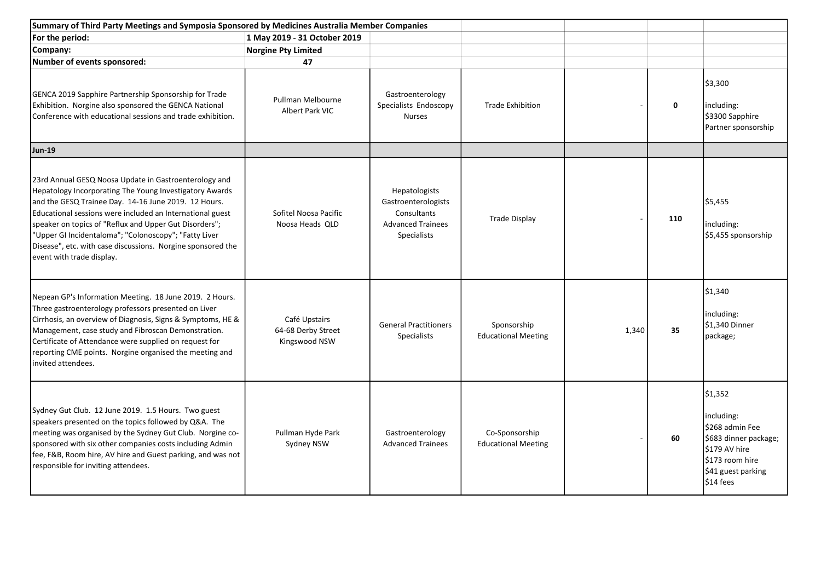| Summary of Third Party Meetings and Symposia Sponsored by Medicines Australia Member Companies                                                                                                                                                                                                                                                                                                                                                       |                                                      |                                                                                                |                                              |       |             |                                                                                                                                          |
|------------------------------------------------------------------------------------------------------------------------------------------------------------------------------------------------------------------------------------------------------------------------------------------------------------------------------------------------------------------------------------------------------------------------------------------------------|------------------------------------------------------|------------------------------------------------------------------------------------------------|----------------------------------------------|-------|-------------|------------------------------------------------------------------------------------------------------------------------------------------|
| For the period:                                                                                                                                                                                                                                                                                                                                                                                                                                      | 1 May 2019 - 31 October 2019                         |                                                                                                |                                              |       |             |                                                                                                                                          |
| Company:                                                                                                                                                                                                                                                                                                                                                                                                                                             | <b>Norgine Pty Limited</b>                           |                                                                                                |                                              |       |             |                                                                                                                                          |
| Number of events sponsored:                                                                                                                                                                                                                                                                                                                                                                                                                          | 47                                                   |                                                                                                |                                              |       |             |                                                                                                                                          |
| GENCA 2019 Sapphire Partnership Sponsorship for Trade<br>Exhibition. Norgine also sponsored the GENCA National<br>Conference with educational sessions and trade exhibition.                                                                                                                                                                                                                                                                         | Pullman Melbourne<br>Albert Park VIC                 | Gastroenterology<br>Specialists Endoscopy<br><b>Nurses</b>                                     | <b>Trade Exhibition</b>                      |       | $\mathbf 0$ | \$3,300<br>including:<br>\$3300 Sapphire<br>Partner sponsorship                                                                          |
| <b>Jun-19</b>                                                                                                                                                                                                                                                                                                                                                                                                                                        |                                                      |                                                                                                |                                              |       |             |                                                                                                                                          |
| 23rd Annual GESQ Noosa Update in Gastroenterology and<br>Hepatology Incorporating The Young Investigatory Awards<br>and the GESQ Trainee Day. 14-16 June 2019. 12 Hours.<br>Educational sessions were included an International guest<br>speaker on topics of "Reflux and Upper Gut Disorders";<br>"Upper GI Incidentaloma"; "Colonoscopy"; "Fatty Liver<br>Disease", etc. with case discussions. Norgine sponsored the<br>event with trade display. | Sofitel Noosa Pacific<br>Noosa Heads OLD             | Hepatologists<br>Gastroenterologists<br>Consultants<br><b>Advanced Trainees</b><br>Specialists | <b>Trade Display</b>                         |       | 110         | \$5,455<br>including:<br>\$5,455 sponsorship                                                                                             |
| Nepean GP's Information Meeting. 18 June 2019. 2 Hours.<br>Three gastroenterology professors presented on Liver<br>Cirrhosis, an overview of Diagnosis, Signs & Symptoms, HE &<br>Management, case study and Fibroscan Demonstration.<br>Certificate of Attendance were supplied on request for<br>reporting CME points. Norgine organised the meeting and<br>invited attendees.                                                                     | Café Upstairs<br>64-68 Derby Street<br>Kingswood NSW | <b>General Practitioners</b><br>Specialists                                                    | Sponsorship<br><b>Educational Meeting</b>    | 1,340 | 35          | \$1,340<br>including:<br>\$1,340 Dinner<br>package;                                                                                      |
| Sydney Gut Club. 12 June 2019. 1.5 Hours. Two guest<br>speakers presented on the topics followed by Q&A. The<br>meeting was organised by the Sydney Gut Club. Norgine co-<br>sponsored with six other companies costs including Admin<br>fee, F&B, Room hire, AV hire and Guest parking, and was not<br>responsible for inviting attendees.                                                                                                          | Pullman Hyde Park<br>Sydney NSW                      | Gastroenterology<br><b>Advanced Trainees</b>                                                   | Co-Sponsorship<br><b>Educational Meeting</b> |       | 60          | \$1,352<br>including:<br>\$268 admin Fee<br>\$683 dinner package;<br>\$179 AV hire<br>\$173 room hire<br>\$41 guest parking<br>\$14 fees |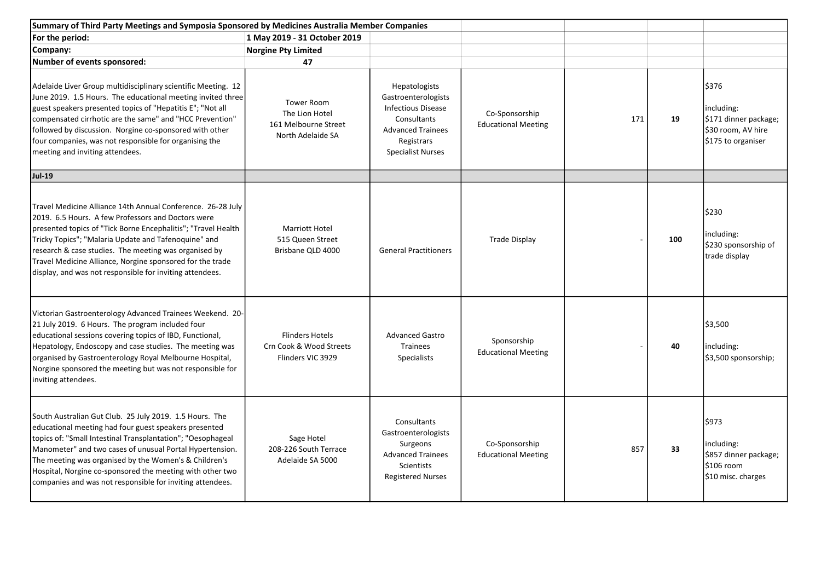| Summary of Third Party Meetings and Symposia Sponsored by Medicines Australia Member Companies                                                                                                                                                                                                                                                                                                                                 |                                                                                  |                                                                                                                                                        |                                              |     |     |                                                                                          |
|--------------------------------------------------------------------------------------------------------------------------------------------------------------------------------------------------------------------------------------------------------------------------------------------------------------------------------------------------------------------------------------------------------------------------------|----------------------------------------------------------------------------------|--------------------------------------------------------------------------------------------------------------------------------------------------------|----------------------------------------------|-----|-----|------------------------------------------------------------------------------------------|
| For the period:                                                                                                                                                                                                                                                                                                                                                                                                                | 1 May 2019 - 31 October 2019                                                     |                                                                                                                                                        |                                              |     |     |                                                                                          |
| Company:                                                                                                                                                                                                                                                                                                                                                                                                                       | <b>Norgine Pty Limited</b>                                                       |                                                                                                                                                        |                                              |     |     |                                                                                          |
| Number of events sponsored:                                                                                                                                                                                                                                                                                                                                                                                                    | 47                                                                               |                                                                                                                                                        |                                              |     |     |                                                                                          |
| Adelaide Liver Group multidisciplinary scientific Meeting. 12<br>June 2019. 1.5 Hours. The educational meeting invited three<br>guest speakers presented topics of "Hepatitis E"; "Not all<br>compensated cirrhotic are the same" and "HCC Prevention"<br>followed by discussion. Norgine co-sponsored with other<br>four companies, was not responsible for organising the<br>meeting and inviting attendees.                 | <b>Tower Room</b><br>The Lion Hotel<br>161 Melbourne Street<br>North Adelaide SA | Hepatologists<br>Gastroenterologists<br><b>Infectious Disease</b><br>Consultants<br><b>Advanced Trainees</b><br>Registrars<br><b>Specialist Nurses</b> | Co-Sponsorship<br><b>Educational Meeting</b> | 171 | 19  | \$376<br>including:<br>\$171 dinner package;<br>\$30 room, AV hire<br>\$175 to organiser |
| <b>Jul-19</b>                                                                                                                                                                                                                                                                                                                                                                                                                  |                                                                                  |                                                                                                                                                        |                                              |     |     |                                                                                          |
| Travel Medicine Alliance 14th Annual Conference. 26-28 July<br>2019. 6.5 Hours. A few Professors and Doctors were<br>presented topics of "Tick Borne Encephalitis"; "Travel Health<br>Tricky Topics"; "Malaria Update and Tafenoquine" and<br>research & case studies. The meeting was organised by<br>Travel Medicine Alliance, Norgine sponsored for the trade<br>display, and was not responsible for inviting attendees.   | <b>Marriott Hotel</b><br>515 Queen Street<br>Brisbane QLD 4000                   | <b>General Practitioners</b>                                                                                                                           | <b>Trade Display</b>                         |     | 100 | \$230<br>including:<br>\$230 sponsorship of<br>trade display                             |
| Victorian Gastroenterology Advanced Trainees Weekend. 20-<br>21 July 2019. 6 Hours. The program included four<br>educational sessions covering topics of IBD, Functional,<br>Hepatology, Endoscopy and case studies. The meeting was<br>organised by Gastroenterology Royal Melbourne Hospital,<br>Norgine sponsored the meeting but was not responsible for<br>inviting attendees.                                            | <b>Flinders Hotels</b><br>Crn Cook & Wood Streets<br>Flinders VIC 3929           | <b>Advanced Gastro</b><br><b>Trainees</b><br><b>Specialists</b>                                                                                        | Sponsorship<br><b>Educational Meeting</b>    |     | 40  | \$3,500<br>including:<br>\$3,500 sponsorship;                                            |
| South Australian Gut Club. 25 July 2019. 1.5 Hours. The<br>educational meeting had four guest speakers presented<br>topics of: "Small Intestinal Transplantation"; "Oesophageal<br>Manometer" and two cases of unusual Portal Hypertension.<br>The meeting was organised by the Women's & Children's<br>Hospital, Norgine co-sponsored the meeting with other two<br>companies and was not responsible for inviting attendees. | Sage Hotel<br>208-226 South Terrace<br>Adelaide SA 5000                          | Consultants<br>Gastroenterologists<br>Surgeons<br><b>Advanced Trainees</b><br><b>Scientists</b><br><b>Registered Nurses</b>                            | Co-Sponsorship<br><b>Educational Meeting</b> | 857 | 33  | \$973<br>including:<br>\$857 dinner package;<br>\$106 room<br>\$10 misc. charges         |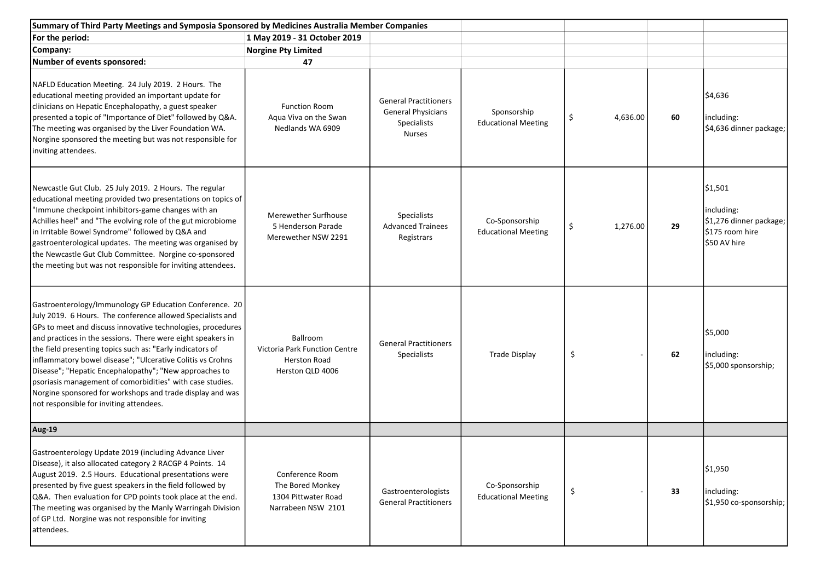| Summary of Third Party Meetings and Symposia Sponsored by Medicines Australia Member Companies                                                                                                                                                                                                                                                                                                                                                                                                                                                                                                                |                                                                                      |                                                                                    |                                              |                |    |                                                                                     |
|---------------------------------------------------------------------------------------------------------------------------------------------------------------------------------------------------------------------------------------------------------------------------------------------------------------------------------------------------------------------------------------------------------------------------------------------------------------------------------------------------------------------------------------------------------------------------------------------------------------|--------------------------------------------------------------------------------------|------------------------------------------------------------------------------------|----------------------------------------------|----------------|----|-------------------------------------------------------------------------------------|
| For the period:                                                                                                                                                                                                                                                                                                                                                                                                                                                                                                                                                                                               | 1 May 2019 - 31 October 2019                                                         |                                                                                    |                                              |                |    |                                                                                     |
| Company:                                                                                                                                                                                                                                                                                                                                                                                                                                                                                                                                                                                                      | <b>Norgine Pty Limited</b>                                                           |                                                                                    |                                              |                |    |                                                                                     |
| Number of events sponsored:                                                                                                                                                                                                                                                                                                                                                                                                                                                                                                                                                                                   | 47                                                                                   |                                                                                    |                                              |                |    |                                                                                     |
| NAFLD Education Meeting. 24 July 2019. 2 Hours. The<br>educational meeting provided an important update for<br>clinicians on Hepatic Encephalopathy, a guest speaker<br>presented a topic of "Importance of Diet" followed by Q&A.<br>The meeting was organised by the Liver Foundation WA.<br>Norgine sponsored the meeting but was not responsible for<br>inviting attendees.                                                                                                                                                                                                                               | <b>Function Room</b><br>Aqua Viva on the Swan<br>Nedlands WA 6909                    | <b>General Practitioners</b><br>General Physicians<br>Specialists<br><b>Nurses</b> | Sponsorship<br><b>Educational Meeting</b>    | \$<br>4,636.00 | 60 | \$4,636<br>including:<br>\$4,636 dinner package;                                    |
| Newcastle Gut Club. 25 July 2019. 2 Hours. The regular<br>educational meeting provided two presentations on topics of<br>"Immune checkpoint inhibitors-game changes with an<br>Achilles heel" and "The evolving role of the gut microbiome<br>in Irritable Bowel Syndrome" followed by Q&A and<br>gastroenterological updates. The meeting was organised by<br>the Newcastle Gut Club Committee. Norgine co-sponsored<br>the meeting but was not responsible for inviting attendees.                                                                                                                          | Merewether Surfhouse<br>5 Henderson Parade<br>Merewether NSW 2291                    | Specialists<br><b>Advanced Trainees</b><br>Registrars                              | Co-Sponsorship<br><b>Educational Meeting</b> | \$<br>1,276.00 | 29 | \$1,501<br>including:<br>\$1,276 dinner package;<br>\$175 room hire<br>\$50 AV hire |
| Gastroenterology/Immunology GP Education Conference. 20<br>July 2019. 6 Hours. The conference allowed Specialists and<br>GPs to meet and discuss innovative technologies, procedures<br>and practices in the sessions. There were eight speakers in<br>the field presenting topics such as: "Early indicators of<br>inflammatory bowel disease"; "Ulcerative Colitis vs Crohns<br>Disease"; "Hepatic Encephalopathy"; "New approaches to<br>psoriasis management of comorbidities" with case studies.<br>Norgine sponsored for workshops and trade display and was<br>not responsible for inviting attendees. | Ballroom<br>Victoria Park Function Centre<br><b>Herston Road</b><br>Herston QLD 4006 | <b>General Practitioners</b><br>Specialists                                        | <b>Trade Display</b>                         | \$             | 62 | \$5,000<br>including:<br>\$5,000 sponsorship;                                       |
| Aug-19                                                                                                                                                                                                                                                                                                                                                                                                                                                                                                                                                                                                        |                                                                                      |                                                                                    |                                              |                |    |                                                                                     |
| Gastroenterology Update 2019 (including Advance Liver<br>Disease), it also allocated category 2 RACGP 4 Points. 14<br>August 2019. 2.5 Hours. Educational presentations were<br>presented by five guest speakers in the field followed by<br>Q&A. Then evaluation for CPD points took place at the end.<br>The meeting was organised by the Manly Warringah Division<br>of GP Ltd. Norgine was not responsible for inviting<br>attendees.                                                                                                                                                                     | Conference Room<br>The Bored Monkey<br>1304 Pittwater Road<br>Narrabeen NSW 2101     | Gastroenterologists<br><b>General Practitioners</b>                                | Co-Sponsorship<br><b>Educational Meeting</b> | \$             | 33 | \$1,950<br>including:<br>\$1,950 co-sponsorship;                                    |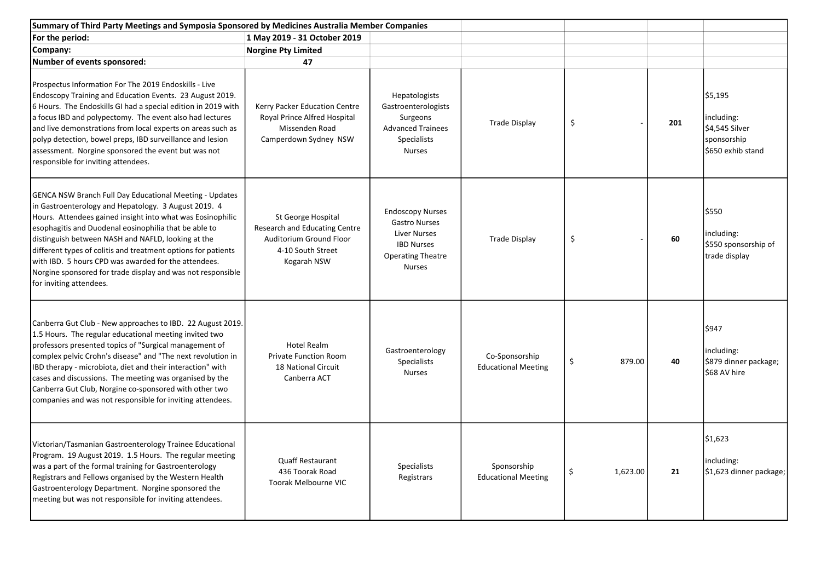| Summary of Third Party Meetings and Symposia Sponsored by Medicines Australia Member Companies                                                                                                                                                                                                                                                                                                                                                                                                                         |                                                                                                                    |                                                                                                                                          |                                              |                |     |                                                                             |
|------------------------------------------------------------------------------------------------------------------------------------------------------------------------------------------------------------------------------------------------------------------------------------------------------------------------------------------------------------------------------------------------------------------------------------------------------------------------------------------------------------------------|--------------------------------------------------------------------------------------------------------------------|------------------------------------------------------------------------------------------------------------------------------------------|----------------------------------------------|----------------|-----|-----------------------------------------------------------------------------|
| For the period:                                                                                                                                                                                                                                                                                                                                                                                                                                                                                                        | 1 May 2019 - 31 October 2019                                                                                       |                                                                                                                                          |                                              |                |     |                                                                             |
| Company:                                                                                                                                                                                                                                                                                                                                                                                                                                                                                                               | <b>Norgine Pty Limited</b>                                                                                         |                                                                                                                                          |                                              |                |     |                                                                             |
| Number of events sponsored:                                                                                                                                                                                                                                                                                                                                                                                                                                                                                            | 47                                                                                                                 |                                                                                                                                          |                                              |                |     |                                                                             |
| Prospectus Information For The 2019 Endoskills - Live<br>Endoscopy Training and Education Events. 23 August 2019.<br>6 Hours. The Endoskills GI had a special edition in 2019 with<br>a focus IBD and polypectomy. The event also had lectures<br>and live demonstrations from local experts on areas such as<br>polyp detection, bowel preps, IBD surveillance and lesion<br>assessment. Norgine sponsored the event but was not<br>responsible for inviting attendees.                                               | Kerry Packer Education Centre<br>Royal Prince Alfred Hospital<br>Missenden Road<br>Camperdown Sydney NSW           | Hepatologists<br>Gastroenterologists<br>Surgeons<br><b>Advanced Trainees</b><br><b>Specialists</b><br><b>Nurses</b>                      | <b>Trade Display</b>                         | \$             | 201 | \$5,195<br>including:<br>\$4,545 Silver<br>sponsorship<br>\$650 exhib stand |
| <b>GENCA NSW Branch Full Day Educational Meeting - Updates</b><br>in Gastroenterology and Hepatology. 3 August 2019. 4<br>Hours. Attendees gained insight into what was Eosinophilic<br>esophagitis and Duodenal eosinophilia that be able to<br>distinguish between NASH and NAFLD, looking at the<br>different types of colitis and treatment options for patients<br>with IBD. 5 hours CPD was awarded for the attendees.<br>Norgine sponsored for trade display and was not responsible<br>for inviting attendees. | St George Hospital<br>Research and Educating Centre<br>Auditorium Ground Floor<br>4-10 South Street<br>Kogarah NSW | <b>Endoscopy Nurses</b><br><b>Gastro Nurses</b><br><b>Liver Nurses</b><br><b>IBD Nurses</b><br><b>Operating Theatre</b><br><b>Nurses</b> | <b>Trade Display</b>                         | \$             | 60  | \$550<br>including:<br>\$550 sponsorship of<br>trade display                |
| Canberra Gut Club - New approaches to IBD. 22 August 2019.<br>1.5 Hours. The regular educational meeting invited two<br>professors presented topics of "Surgical management of<br>complex pelvic Crohn's disease" and "The next revolution in<br>IBD therapy - microbiota, diet and their interaction" with<br>cases and discussions. The meeting was organised by the<br>Canberra Gut Club, Norgine co-sponsored with other two<br>companies and was not responsible for inviting attendees.                          | <b>Hotel Realm</b><br><b>Private Function Room</b><br>18 National Circuit<br>Canberra ACT                          | Gastroenterology<br><b>Specialists</b><br><b>Nurses</b>                                                                                  | Co-Sponsorship<br><b>Educational Meeting</b> | \$<br>879.00   | 40  | \$947<br>including:<br>\$879 dinner package;<br>\$68 AV hire                |
| Victorian/Tasmanian Gastroenterology Trainee Educational<br>Program. 19 August 2019. 1.5 Hours. The regular meeting<br>was a part of the formal training for Gastroenterology<br>Registrars and Fellows organised by the Western Health<br>Gastroenterology Department. Norgine sponsored the<br>meeting but was not responsible for inviting attendees.                                                                                                                                                               | <b>Quaff Restaurant</b><br>436 Toorak Road<br><b>Toorak Melbourne VIC</b>                                          | Specialists<br>Registrars                                                                                                                | Sponsorship<br><b>Educational Meeting</b>    | \$<br>1,623.00 | 21  | \$1,623<br>including:<br>\$1,623 dinner package;                            |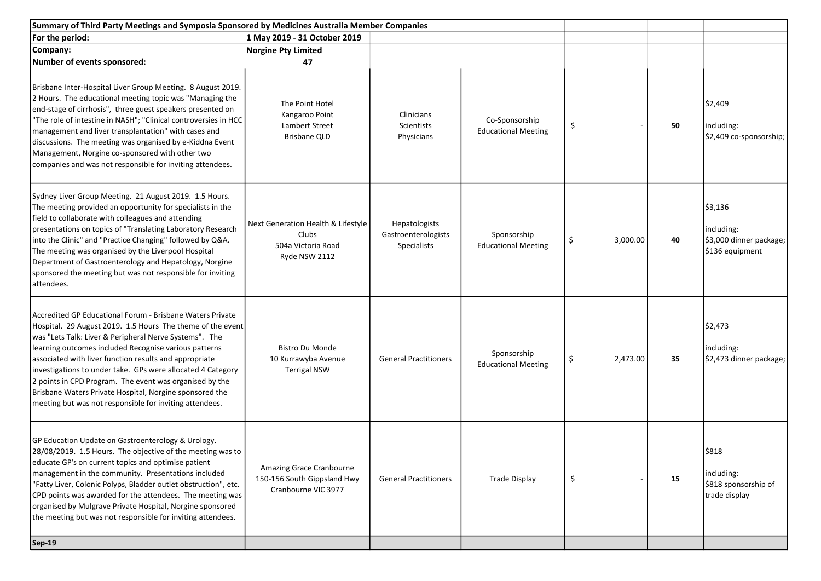| Summary of Third Party Meetings and Symposia Sponsored by Medicines Australia Member Companies                                                                                                                                                                                                                                                                                                                                                                                                                                                       |                                                                                    |                                                     |                                              |                |    |                                                                     |
|------------------------------------------------------------------------------------------------------------------------------------------------------------------------------------------------------------------------------------------------------------------------------------------------------------------------------------------------------------------------------------------------------------------------------------------------------------------------------------------------------------------------------------------------------|------------------------------------------------------------------------------------|-----------------------------------------------------|----------------------------------------------|----------------|----|---------------------------------------------------------------------|
| For the period:                                                                                                                                                                                                                                                                                                                                                                                                                                                                                                                                      | 1 May 2019 - 31 October 2019                                                       |                                                     |                                              |                |    |                                                                     |
| Company:                                                                                                                                                                                                                                                                                                                                                                                                                                                                                                                                             | <b>Norgine Pty Limited</b>                                                         |                                                     |                                              |                |    |                                                                     |
| Number of events sponsored:                                                                                                                                                                                                                                                                                                                                                                                                                                                                                                                          | 47                                                                                 |                                                     |                                              |                |    |                                                                     |
| Brisbane Inter-Hospital Liver Group Meeting. 8 August 2019.<br>2 Hours. The educational meeting topic was "Managing the<br>end-stage of cirrhosis", three guest speakers presented on<br>"The role of intestine in NASH"; "Clinical controversies in HCC<br>management and liver transplantation" with cases and<br>discussions. The meeting was organised by e-Kiddna Event<br>Management, Norgine co-sponsored with other two<br>companies and was not responsible for inviting attendees.                                                         | The Point Hotel<br>Kangaroo Point<br>Lambert Street<br><b>Brisbane QLD</b>         | Clinicians<br>Scientists<br>Physicians              | Co-Sponsorship<br><b>Educational Meeting</b> | \$             | 50 | \$2,409<br>including:<br>\$2,409 co-sponsorship;                    |
| Sydney Liver Group Meeting. 21 August 2019. 1.5 Hours.<br>The meeting provided an opportunity for specialists in the<br>field to collaborate with colleagues and attending<br>presentations on topics of "Translating Laboratory Research<br>into the Clinic" and "Practice Changing" followed by Q&A.<br>The meeting was organised by the Liverpool Hospital<br>Department of Gastroenterology and Hepatology, Norgine<br>sponsored the meeting but was not responsible for inviting<br>attendees.                                                  | Next Generation Health & Lifestyle<br>Clubs<br>504a Victoria Road<br>Ryde NSW 2112 | Hepatologists<br>Gastroenterologists<br>Specialists | Sponsorship<br><b>Educational Meeting</b>    | \$<br>3,000.00 | 40 | \$3,136<br>including:<br>\$3,000 dinner package;<br>\$136 equipment |
| Accredited GP Educational Forum - Brisbane Waters Private<br>Hospital. 29 August 2019. 1.5 Hours The theme of the event<br>was "Lets Talk: Liver & Peripheral Nerve Systems". The<br>learning outcomes included Recognise various patterns<br>associated with liver function results and appropriate<br>investigations to under take. GPs were allocated 4 Category<br>2 points in CPD Program. The event was organised by the<br>Brisbane Waters Private Hospital, Norgine sponsored the<br>meeting but was not responsible for inviting attendees. | <b>Bistro Du Monde</b><br>10 Kurrawyba Avenue<br><b>Terrigal NSW</b>               | <b>General Practitioners</b>                        | Sponsorship<br><b>Educational Meeting</b>    | \$<br>2,473.00 | 35 | \$2,473<br>including:<br>\$2,473 dinner package;                    |
| GP Education Update on Gastroenterology & Urology.<br>28/08/2019. 1.5 Hours. The objective of the meeting was to<br>educate GP's on current topics and optimise patient<br>management in the community. Presentations included<br>"Fatty Liver, Colonic Polyps, Bladder outlet obstruction", etc.<br>CPD points was awarded for the attendees. The meeting was<br>organised by Mulgrave Private Hospital, Norgine sponsored<br>the meeting but was not responsible for inviting attendees.                                                           | Amazing Grace Cranbourne<br>150-156 South Gippsland Hwy<br>Cranbourne VIC 3977     | <b>General Practitioners</b>                        | <b>Trade Display</b>                         | \$             | 15 | \$818<br>including:<br>\$818 sponsorship of<br>trade display        |
| <b>Sep-19</b>                                                                                                                                                                                                                                                                                                                                                                                                                                                                                                                                        |                                                                                    |                                                     |                                              |                |    |                                                                     |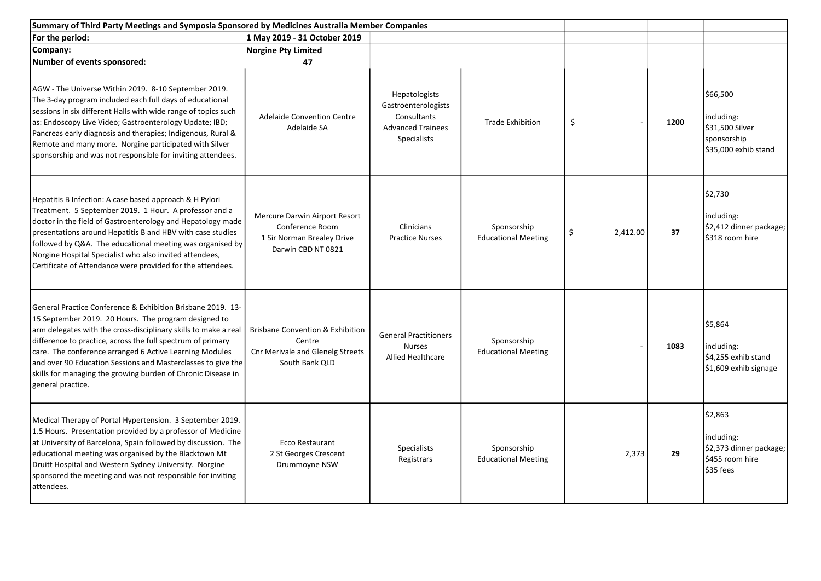| Summary of Third Party Meetings and Symposia Sponsored by Medicines Australia Member Companies                                                                                                                                                                                                                                                                                                                                                                        |                                                                                                                    |                                                                                                       |                                           |                                 |      |                                                                                  |
|-----------------------------------------------------------------------------------------------------------------------------------------------------------------------------------------------------------------------------------------------------------------------------------------------------------------------------------------------------------------------------------------------------------------------------------------------------------------------|--------------------------------------------------------------------------------------------------------------------|-------------------------------------------------------------------------------------------------------|-------------------------------------------|---------------------------------|------|----------------------------------------------------------------------------------|
| For the period:                                                                                                                                                                                                                                                                                                                                                                                                                                                       | 1 May 2019 - 31 October 2019                                                                                       |                                                                                                       |                                           |                                 |      |                                                                                  |
| Company:                                                                                                                                                                                                                                                                                                                                                                                                                                                              | <b>Norgine Pty Limited</b>                                                                                         |                                                                                                       |                                           |                                 |      |                                                                                  |
| Number of events sponsored:                                                                                                                                                                                                                                                                                                                                                                                                                                           | 47                                                                                                                 |                                                                                                       |                                           |                                 |      |                                                                                  |
| AGW - The Universe Within 2019. 8-10 September 2019.<br>The 3-day program included each full days of educational<br>sessions in six different Halls with wide range of topics such<br>as: Endoscopy Live Video; Gastroenterology Update; IBD;<br>Pancreas early diagnosis and therapies; Indigenous, Rural &<br>Remote and many more. Norgine participated with Silver<br>sponsorship and was not responsible for inviting attendees.                                 | <b>Adelaide Convention Centre</b><br>Adelaide SA                                                                   | Hepatologists<br>Gastroenterologists<br>Consultants<br><b>Advanced Trainees</b><br><b>Specialists</b> | <b>Trade Exhibition</b>                   | \$                              | 1200 | \$66,500<br>including:<br>\$31,500 Silver<br>sponsorship<br>\$35,000 exhib stand |
| Hepatitis B Infection: A case based approach & H Pylori<br>Treatment. 5 September 2019. 1 Hour. A professor and a<br>doctor in the field of Gastroenterology and Hepatology made<br>presentations around Hepatitis B and HBV with case studies<br>followed by Q&A. The educational meeting was organised by<br>Norgine Hospital Specialist who also invited attendees,<br>Certificate of Attendance were provided for the attendees.                                  | Mercure Darwin Airport Resort<br>Conference Room<br>1 Sir Norman Brealey Drive<br>Darwin CBD NT 0821               | Clinicians<br><b>Practice Nurses</b>                                                                  | Sponsorship<br><b>Educational Meeting</b> | $\ddot{\mathsf{S}}$<br>2,412.00 | 37   | \$2,730<br>including:<br>\$2,412 dinner package;<br>\$318 room hire              |
| General Practice Conference & Exhibition Brisbane 2019. 13-<br>15 September 2019. 20 Hours. The program designed to<br>arm delegates with the cross-disciplinary skills to make a real<br>difference to practice, across the full spectrum of primary<br>care. The conference arranged 6 Active Learning Modules<br>and over 90 Education Sessions and Masterclasses to give the<br>skills for managing the growing burden of Chronic Disease in<br>general practice. | <b>Brisbane Convention &amp; Exhibition</b><br>Centre<br><b>Cnr Merivale and Glenelg Streets</b><br>South Bank QLD | <b>General Practitioners</b><br>Nurses<br><b>Allied Healthcare</b>                                    | Sponsorship<br><b>Educational Meeting</b> |                                 | 1083 | \$5,864<br>including:<br>\$4,255 exhib stand<br>\$1,609 exhib signage            |
| Medical Therapy of Portal Hypertension. 3 September 2019.<br>1.5 Hours. Presentation provided by a professor of Medicine<br>at University of Barcelona, Spain followed by discussion. The<br>educational meeting was organised by the Blacktown Mt<br>Druitt Hospital and Western Sydney University. Norgine<br>sponsored the meeting and was not responsible for inviting<br>attendees.                                                                              | Ecco Restaurant<br>2 St Georges Crescent<br>Drummoyne NSW                                                          | Specialists<br>Registrars                                                                             | Sponsorship<br><b>Educational Meeting</b> | 2,373                           | 29   | \$2,863<br>including:<br>\$2,373 dinner package;<br>\$455 room hire<br>\$35 fees |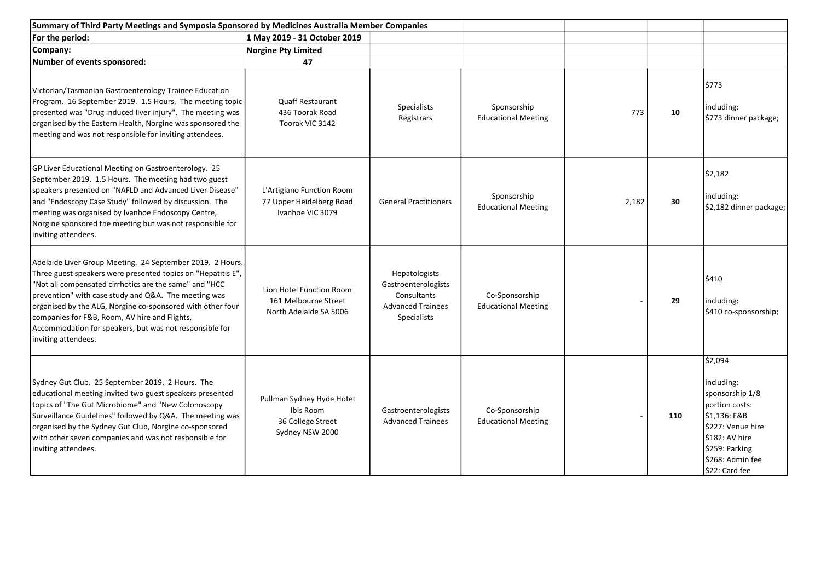| Summary of Third Party Meetings and Symposia Sponsored by Medicines Australia Member Companies                                                                                                                                                                                                                                                                                                                                               |                                                                                |                                                                                                |                                              |       |     |                                                                                                                                                                           |
|----------------------------------------------------------------------------------------------------------------------------------------------------------------------------------------------------------------------------------------------------------------------------------------------------------------------------------------------------------------------------------------------------------------------------------------------|--------------------------------------------------------------------------------|------------------------------------------------------------------------------------------------|----------------------------------------------|-------|-----|---------------------------------------------------------------------------------------------------------------------------------------------------------------------------|
| For the period:                                                                                                                                                                                                                                                                                                                                                                                                                              | 1 May 2019 - 31 October 2019                                                   |                                                                                                |                                              |       |     |                                                                                                                                                                           |
| Company:                                                                                                                                                                                                                                                                                                                                                                                                                                     | <b>Norgine Pty Limited</b>                                                     |                                                                                                |                                              |       |     |                                                                                                                                                                           |
| Number of events sponsored:                                                                                                                                                                                                                                                                                                                                                                                                                  | 47                                                                             |                                                                                                |                                              |       |     |                                                                                                                                                                           |
| Victorian/Tasmanian Gastroenterology Trainee Education<br>Program. 16 September 2019. 1.5 Hours. The meeting topic<br>presented was "Drug induced liver injury". The meeting was<br>organised by the Eastern Health, Norgine was sponsored the<br>meeting and was not responsible for inviting attendees.                                                                                                                                    | <b>Quaff Restaurant</b><br>436 Toorak Road<br>Toorak VIC 3142                  | Specialists<br>Registrars                                                                      | Sponsorship<br><b>Educational Meeting</b>    | 773   | 10  | \$773<br>including:<br>\$773 dinner package;                                                                                                                              |
| GP Liver Educational Meeting on Gastroenterology. 25<br>September 2019. 1.5 Hours. The meeting had two guest<br>speakers presented on "NAFLD and Advanced Liver Disease"<br>and "Endoscopy Case Study" followed by discussion. The<br>meeting was organised by Ivanhoe Endoscopy Centre,<br>Norgine sponsored the meeting but was not responsible for<br>inviting attendees.                                                                 | L'Artigiano Function Room<br>77 Upper Heidelberg Road<br>Ivanhoe VIC 3079      | <b>General Practitioners</b>                                                                   | Sponsorship<br><b>Educational Meeting</b>    | 2,182 | 30  | \$2,182<br>including:<br>\$2,182 dinner package;                                                                                                                          |
| Adelaide Liver Group Meeting. 24 September 2019. 2 Hours.<br>Three guest speakers were presented topics on "Hepatitis E",<br>"Not all compensated cirrhotics are the same" and "HCC<br>prevention" with case study and Q&A. The meeting was<br>organised by the ALG, Norgine co-sponsored with other four<br>companies for F&B, Room, AV hire and Flights,<br>Accommodation for speakers, but was not responsible for<br>inviting attendees. | Lion Hotel Function Room<br>161 Melbourne Street<br>North Adelaide SA 5006     | Hepatologists<br>Gastroenterologists<br>Consultants<br><b>Advanced Trainees</b><br>Specialists | Co-Sponsorship<br><b>Educational Meeting</b> |       | 29  | \$410<br>including:<br>\$410 co-sponsorship;                                                                                                                              |
| Sydney Gut Club. 25 September 2019. 2 Hours. The<br>educational meeting invited two guest speakers presented<br>topics of "The Gut Microbiome" and "New Colonoscopy<br>Surveillance Guidelines" followed by Q&A. The meeting was<br>organised by the Sydney Gut Club, Norgine co-sponsored<br>with other seven companies and was not responsible for<br>inviting attendees.                                                                  | Pullman Sydney Hyde Hotel<br>Ibis Room<br>36 College Street<br>Sydney NSW 2000 | Gastroenterologists<br><b>Advanced Trainees</b>                                                | Co-Sponsorship<br><b>Educational Meeting</b> |       | 110 | \$2,094<br>including:<br>sponsorship 1/8<br>portion costs:<br>\$1.136: F&B<br>\$227: Venue hire<br>\$182: AV hire<br>\$259: Parking<br>\$268: Admin fee<br>\$22: Card fee |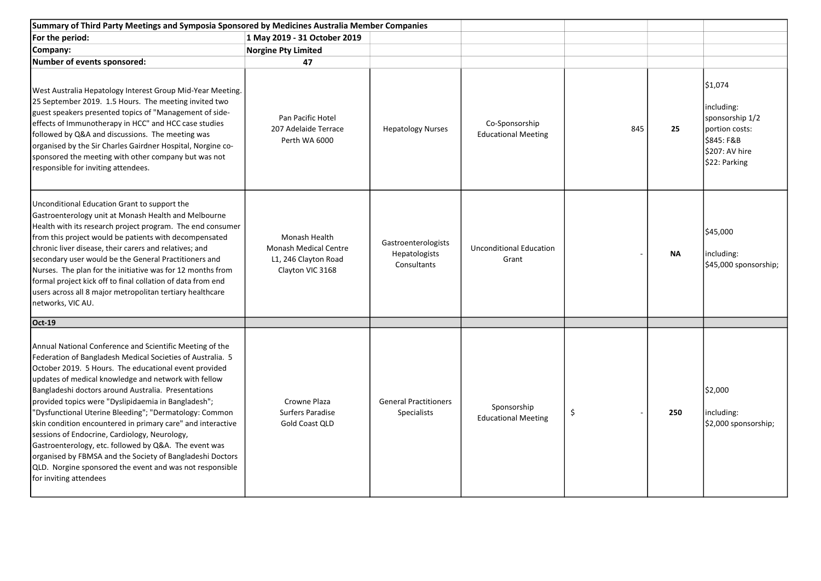| Summary of Third Party Meetings and Symposia Sponsored by Medicines Australia Member Companies                                                                                                                                                                                                                                                                                                                                                                                                                                                                                                                                                                                                                                              |                                                                                           |                                                     |                                              |     |           |                                                                                                             |
|---------------------------------------------------------------------------------------------------------------------------------------------------------------------------------------------------------------------------------------------------------------------------------------------------------------------------------------------------------------------------------------------------------------------------------------------------------------------------------------------------------------------------------------------------------------------------------------------------------------------------------------------------------------------------------------------------------------------------------------------|-------------------------------------------------------------------------------------------|-----------------------------------------------------|----------------------------------------------|-----|-----------|-------------------------------------------------------------------------------------------------------------|
| For the period:                                                                                                                                                                                                                                                                                                                                                                                                                                                                                                                                                                                                                                                                                                                             | 1 May 2019 - 31 October 2019                                                              |                                                     |                                              |     |           |                                                                                                             |
| Company:                                                                                                                                                                                                                                                                                                                                                                                                                                                                                                                                                                                                                                                                                                                                    | <b>Norgine Pty Limited</b>                                                                |                                                     |                                              |     |           |                                                                                                             |
| Number of events sponsored:                                                                                                                                                                                                                                                                                                                                                                                                                                                                                                                                                                                                                                                                                                                 | 47                                                                                        |                                                     |                                              |     |           |                                                                                                             |
| West Australia Hepatology Interest Group Mid-Year Meeting.<br>25 September 2019. 1.5 Hours. The meeting invited two<br>guest speakers presented topics of "Management of side-<br>effects of Immunotherapy in HCC" and HCC case studies<br>followed by Q&A and discussions. The meeting was<br>organised by the Sir Charles Gairdner Hospital, Norgine co-<br>sponsored the meeting with other company but was not<br>responsible for inviting attendees.                                                                                                                                                                                                                                                                                   | Pan Pacific Hotel<br>207 Adelaide Terrace<br>Perth WA 6000                                | <b>Hepatology Nurses</b>                            | Co-Sponsorship<br><b>Educational Meeting</b> | 845 | 25        | \$1,074<br>including:<br>sponsorship 1/2<br>portion costs:<br>\$845: F&B<br>\$207: AV hire<br>\$22: Parking |
| Unconditional Education Grant to support the<br>Gastroenterology unit at Monash Health and Melbourne<br>Health with its research project program. The end consumer<br>from this project would be patients with decompensated<br>chronic liver disease, their carers and relatives; and<br>secondary user would be the General Practitioners and<br>Nurses. The plan for the initiative was for 12 months from<br>formal project kick off to final collation of data from end<br>users across all 8 major metropolitan tertiary healthcare<br>networks, VIC AU.                                                                                                                                                                              | Monash Health<br><b>Monash Medical Centre</b><br>L1, 246 Clayton Road<br>Clayton VIC 3168 | Gastroenterologists<br>Hepatologists<br>Consultants | <b>Unconditional Education</b><br>Grant      |     | <b>NA</b> | \$45,000<br>including:<br>\$45,000 sponsorship;                                                             |
| <b>Oct-19</b>                                                                                                                                                                                                                                                                                                                                                                                                                                                                                                                                                                                                                                                                                                                               |                                                                                           |                                                     |                                              |     |           |                                                                                                             |
| Annual National Conference and Scientific Meeting of the<br>Federation of Bangladesh Medical Societies of Australia. 5<br>October 2019. 5 Hours. The educational event provided<br>updates of medical knowledge and network with fellow<br>Bangladeshi doctors around Australia. Presentations<br>provided topics were "Dyslipidaemia in Bangladesh";<br>"Dysfunctional Uterine Bleeding"; "Dermatology: Common<br>skin condition encountered in primary care" and interactive<br>sessions of Endocrine, Cardiology, Neurology,<br>Gastroenterology, etc. followed by Q&A. The event was<br>organised by FBMSA and the Society of Bangladeshi Doctors<br>QLD. Norgine sponsored the event and was not responsible<br>for inviting attendees | Crowne Plaza<br>Surfers Paradise<br>Gold Coast QLD                                        | <b>General Practitioners</b><br>Specialists         | Sponsorship<br><b>Educational Meeting</b>    | \$  | 250       | \$2,000<br>including:<br>\$2,000 sponsorship;                                                               |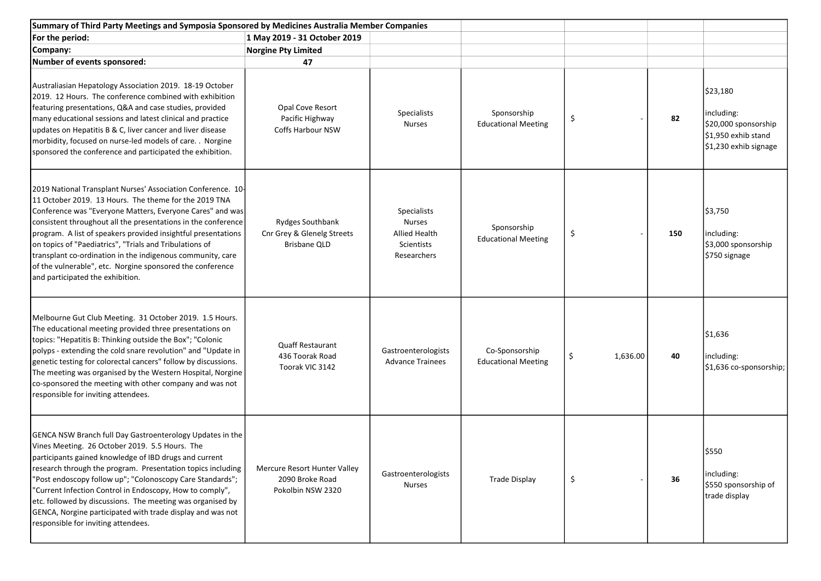| Summary of Third Party Meetings and Symposia Sponsored by Medicines Australia Member Companies                                                                                                                                                                                                                                                                                                                                                                                                                                                 |                                                                       |                                                                                   |                                              |                |     |                                                                                                |
|------------------------------------------------------------------------------------------------------------------------------------------------------------------------------------------------------------------------------------------------------------------------------------------------------------------------------------------------------------------------------------------------------------------------------------------------------------------------------------------------------------------------------------------------|-----------------------------------------------------------------------|-----------------------------------------------------------------------------------|----------------------------------------------|----------------|-----|------------------------------------------------------------------------------------------------|
| For the period:                                                                                                                                                                                                                                                                                                                                                                                                                                                                                                                                | 1 May 2019 - 31 October 2019                                          |                                                                                   |                                              |                |     |                                                                                                |
| Company:                                                                                                                                                                                                                                                                                                                                                                                                                                                                                                                                       | <b>Norgine Pty Limited</b>                                            |                                                                                   |                                              |                |     |                                                                                                |
| Number of events sponsored:                                                                                                                                                                                                                                                                                                                                                                                                                                                                                                                    | 47                                                                    |                                                                                   |                                              |                |     |                                                                                                |
| Australiasian Hepatology Association 2019. 18-19 October<br>2019. 12 Hours. The conference combined with exhibition<br>featuring presentations, Q&A and case studies, provided<br>many educational sessions and latest clinical and practice<br>updates on Hepatitis B & C, liver cancer and liver disease<br>morbidity, focused on nurse-led models of care. . Norgine<br>sponsored the conference and participated the exhibition.                                                                                                           | Opal Cove Resort<br>Pacific Highway<br>Coffs Harbour NSW              | Specialists<br><b>Nurses</b>                                                      | Sponsorship<br><b>Educational Meeting</b>    | \$             | 82  | \$23,180<br>including:<br>\$20,000 sponsorship<br>\$1,950 exhib stand<br>\$1,230 exhib signage |
| 2019 National Transplant Nurses' Association Conference. 10-<br>11 October 2019. 13 Hours. The theme for the 2019 TNA<br>Conference was "Everyone Matters, Everyone Cares" and was<br>consistent throughout all the presentations in the conference<br>program. A list of speakers provided insightful presentations<br>on topics of "Paediatrics", "Trials and Tribulations of<br>transplant co-ordination in the indigenous community, care<br>of the vulnerable", etc. Norgine sponsored the conference<br>and participated the exhibition. | Rydges Southbank<br>Cnr Grey & Glenelg Streets<br><b>Brisbane QLD</b> | <b>Specialists</b><br><b>Nurses</b><br>Allied Health<br>Scientists<br>Researchers | Sponsorship<br><b>Educational Meeting</b>    | \$             | 150 | \$3,750<br>including:<br>\$3,000 sponsorship<br>\$750 signage                                  |
| Melbourne Gut Club Meeting. 31 October 2019. 1.5 Hours.<br>The educational meeting provided three presentations on<br>topics: "Hepatitis B: Thinking outside the Box"; "Colonic<br>polyps - extending the cold snare revolution" and "Update in<br>genetic testing for colorectal cancers" follow by discussions.<br>The meeting was organised by the Western Hospital, Norgine<br>co-sponsored the meeting with other company and was not<br>responsible for inviting attendees.                                                              | <b>Quaff Restaurant</b><br>436 Toorak Road<br>Toorak VIC 3142         | Gastroenterologists<br><b>Advance Trainees</b>                                    | Co-Sponsorship<br><b>Educational Meeting</b> | \$<br>1,636.00 | 40  | \$1,636<br>including:<br>\$1,636 co-sponsorship;                                               |
| <b>GENCA NSW Branch full Day Gastroenterology Updates in the</b><br>Vines Meeting. 26 October 2019. 5.5 Hours. The<br>participants gained knowledge of IBD drugs and current<br>research through the program. Presentation topics including<br>'Post endoscopy follow up"; "Colonoscopy Care Standards";<br>'Current Infection Control in Endoscopy, How to comply",<br>etc. followed by discussions. The meeting was organised by<br>GENCA, Norgine participated with trade display and was not<br>responsible for inviting attendees.        | Mercure Resort Hunter Valley<br>2090 Broke Road<br>Pokolbin NSW 2320  | Gastroenterologists<br><b>Nurses</b>                                              | <b>Trade Display</b>                         | \$             | 36  | \$550<br>including:<br>\$550 sponsorship of<br>trade display                                   |